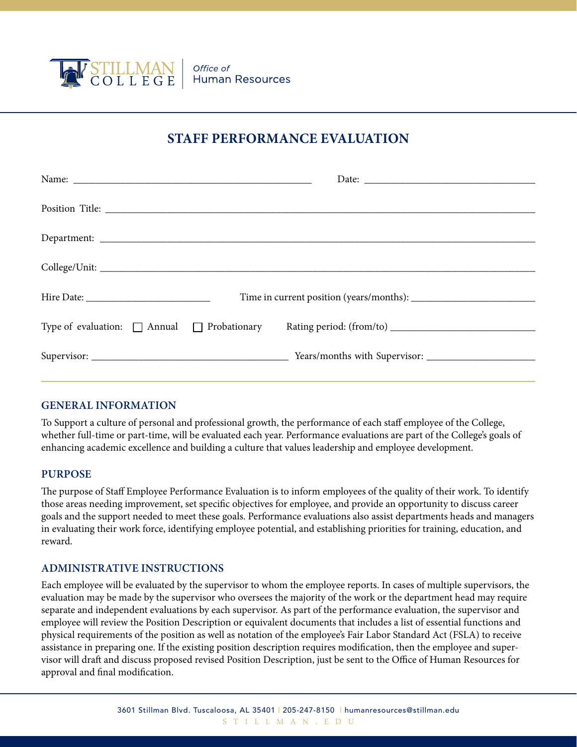

# **STAFF PERFORMANCE EVALUATION**

## **GENERAL INFORMATION**

To Support a culture of personal and professional growth, the performance of each staff employee of the College, whether full-time or part-time, will be evaluated each year. Performance evaluations are part of the College's goals of enhancing academic excellence and building a culture that values leadership and employee development.

#### **PURPOSE**

The purpose of Staff Employee Performance Evaluation is to inform employees of the quality of their work. To identify those areas needing improvement, set specific objectives for employee, and provide an opportunity to discuss career goals and the support needed to meet these goals. Performance evaluations also assist departments heads and managers in evaluating their work force, identifying employee potential, and establishing priorities for training, education, and reward.

#### **ADMINISTRATIVE INSTRUCTIONS**

Each employee will be evaluated by the supervisor to whom the employee reports. In cases of multiple supervisors, the evaluation may be made by the supervisor who oversees the majority of the work or the department head may require separate and independent evaluations by each supervisor. As part of the performance evaluation, the supervisor and employee will review the Position Description or equivalent documents that includes a list of essential functions and physical requirements of the position as well as notation of the employee's Fair Labor Standard Act (FSLA) to receive assistance in preparing one. If the existing position description requires modification, then the employee and supervisor will draft and discuss proposed revised Position Description, just be sent to the Office of Human Resources for approval and final modification.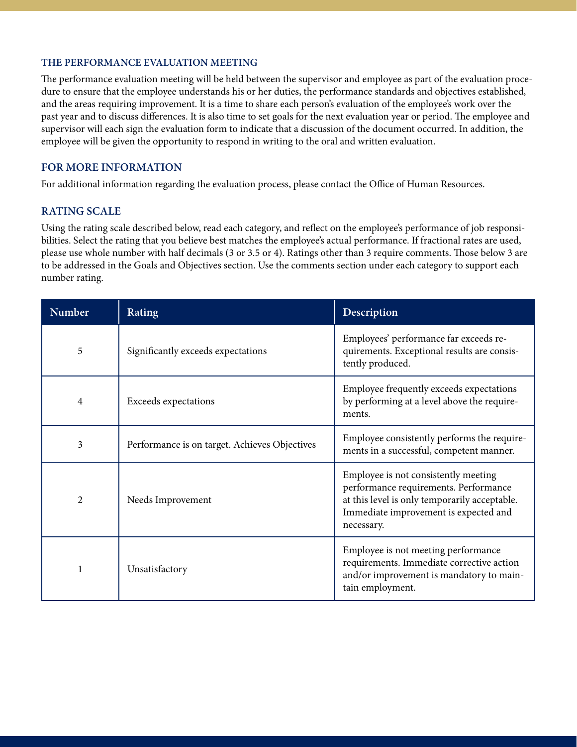## **THE PERFORMANCE EVALUATION MEETING**

The performance evaluation meeting will be held between the supervisor and employee as part of the evaluation procedure to ensure that the employee understands his or her duties, the performance standards and objectives established, and the areas requiring improvement. It is a time to share each person's evaluation of the employee's work over the past year and to discuss differences. It is also time to set goals for the next evaluation year or period. The employee and supervisor will each sign the evaluation form to indicate that a discussion of the document occurred. In addition, the employee will be given the opportunity to respond in writing to the oral and written evaluation.

# **FOR MORE INFORMATION**

For additional information regarding the evaluation process, please contact the Office of Human Resources.

# **RATING SCALE**

Using the rating scale described below, read each category, and reflect on the employee's performance of job responsibilities. Select the rating that you believe best matches the employee's actual performance. If fractional rates are used, please use whole number with half decimals (3 or 3.5 or 4). Ratings other than 3 require comments. Those below 3 are to be addressed in the Goals and Objectives section. Use the comments section under each category to support each number rating.

| <b>Number</b>  | Rating                                        | Description                                                                                                                                                                           |
|----------------|-----------------------------------------------|---------------------------------------------------------------------------------------------------------------------------------------------------------------------------------------|
| 5              | Significantly exceeds expectations            | Employees' performance far exceeds re-<br>quirements. Exceptional results are consis-<br>tently produced.                                                                             |
| 4              | Exceeds expectations                          | Employee frequently exceeds expectations<br>by performing at a level above the require-<br>ments.                                                                                     |
| 3              | Performance is on target. Achieves Objectives | Employee consistently performs the require-<br>ments in a successful, competent manner.                                                                                               |
| $\overline{2}$ | Needs Improvement                             | Employee is not consistently meeting<br>performance requirements. Performance<br>at this level is only temporarily acceptable.<br>Immediate improvement is expected and<br>necessary. |
| 1              | Unsatisfactory                                | Employee is not meeting performance<br>requirements. Immediate corrective action<br>and/or improvement is mandatory to main-<br>tain employment.                                      |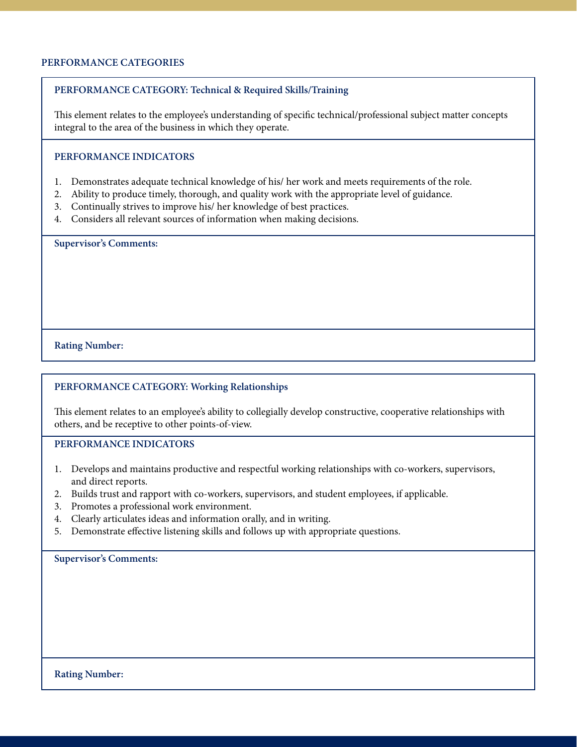### **PERFORMANCE CATEGORIES**

### **PERFORMANCE CATEGORY: Technical & Required Skills/Training**

This element relates to the employee's understanding of specific technical/professional subject matter concepts integral to the area of the business in which they operate.

## **PERFORMANCE INDICATORS**

- 1. Demonstrates adequate technical knowledge of his/ her work and meets requirements of the role.
- 2. Ability to produce timely, thorough, and quality work with the appropriate level of guidance.
- 3. Continually strives to improve his/ her knowledge of best practices.
- 4. Considers all relevant sources of information when making decisions.

**Supervisor's Comments:** 

#### **Rating Number:**

#### **PERFORMANCE CATEGORY: Working Relationships**

This element relates to an employee's ability to collegially develop constructive, cooperative relationships with others, and be receptive to other points-of-view.

**PERFORMANCE INDICATORS**

- 1. Develops and maintains productive and respectful working relationships with co-workers, supervisors, and direct reports.
- 2. Builds trust and rapport with co-workers, supervisors, and student employees, if applicable.
- 3. Promotes a professional work environment.
- 4. Clearly articulates ideas and information orally, and in writing.
- 5. Demonstrate effective listening skills and follows up with appropriate questions.

**Supervisor's Comments:**

**Rating Number:**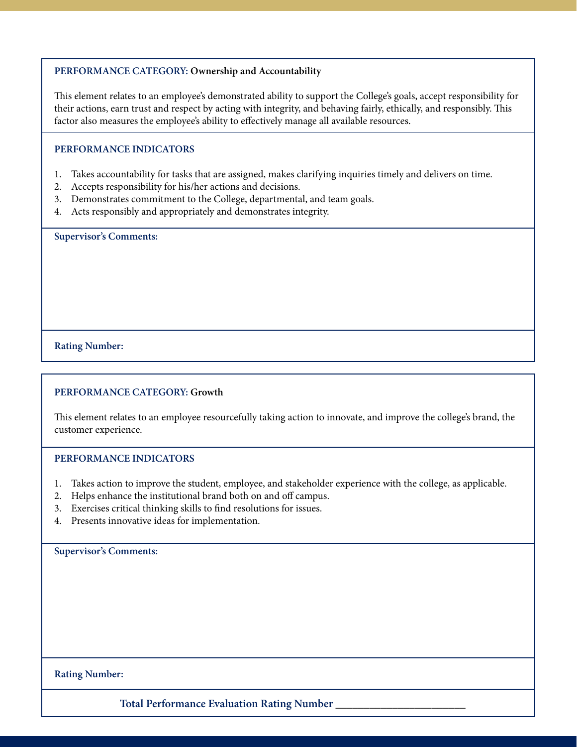### **PERFORMANCE CATEGORY: Ownership and Accountability**

This element relates to an employee's demonstrated ability to support the College's goals, accept responsibility for their actions, earn trust and respect by acting with integrity, and behaving fairly, ethically, and responsibly. This factor also measures the employee's ability to effectively manage all available resources.

#### **PERFORMANCE INDICATORS**

- 1. Takes accountability for tasks that are assigned, makes clarifying inquiries timely and delivers on time.
- 2. Accepts responsibility for his/her actions and decisions.
- 3. Demonstrates commitment to the College, departmental, and team goals.
- 4. Acts responsibly and appropriately and demonstrates integrity.

**Supervisor's Comments:** 

#### **Rating Number:**

#### **PERFORMANCE CATEGORY: Growth**

This element relates to an employee resourcefully taking action to innovate, and improve the college's brand, the customer experience.

#### **PERFORMANCE INDICATORS**

- 1. Takes action to improve the student, employee, and stakeholder experience with the college, as applicable.
- 2. Helps enhance the institutional brand both on and off campus.
- 3. Exercises critical thinking skills to find resolutions for issues.
- 4. Presents innovative ideas for implementation.

**Supervisor's Comments:** 

**Rating Number:**

**Total Performance Evaluation Rating Number \_\_\_\_\_\_\_\_\_\_\_\_\_\_\_\_\_\_\_\_\_\_\_**